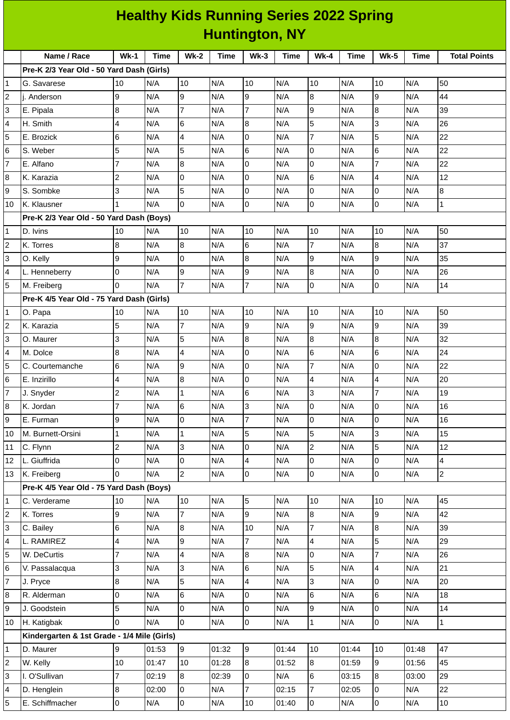|                         | <b>Healthy Kids Running Series 2022 Spring</b> |                |       |                         |       |                          |             |                |       |                 |             |                     |
|-------------------------|------------------------------------------------|----------------|-------|-------------------------|-------|--------------------------|-------------|----------------|-------|-----------------|-------------|---------------------|
| <b>Huntington, NY</b>   |                                                |                |       |                         |       |                          |             |                |       |                 |             |                     |
|                         | Name / Race                                    | $Wk-1$         | Time  | <b>Wk-2</b>             | Time  | $Wk-3$                   | <b>Time</b> | <b>Wk-4</b>    | Time  | <b>Wk-5</b>     | <b>Time</b> | <b>Total Points</b> |
|                         | Pre-K 2/3 Year Old - 50 Yard Dash (Girls)      |                |       |                         |       |                          |             |                |       |                 |             |                     |
| 1                       | G. Savarese                                    | 10             | N/A   | 10                      | N/A   | 10                       | N/A         | 10             | N/A   | 10              | N/A         | 50                  |
| $\overline{\mathbf{c}}$ | i. Anderson                                    | 9              | N/A   | 9                       | N/A   | 9                        | N/A         | 8              | N/A   | 9               | N/A         | 44                  |
| 3                       | E. Pipala                                      | $\overline{8}$ | N/A   | $\overline{7}$          | N/A   | $\overline{7}$           | N/A         | 9              | N/A   | $\overline{8}$  | N/A         | 39                  |
| 4                       | H. Smith                                       | 4              | N/A   | 6                       | N/A   | 8                        | N/A         | 5              | N/A   | 3               | N/A         | 26                  |
| 5                       | E. Brozick                                     | 6              | N/A   | $\overline{4}$          | N/A   | 0                        | N/A         | $\overline{7}$ | N/A   | 5               | N/A         | 22                  |
| 6                       | S. Weber                                       | 5              | N/A   | 5                       | N/A   | 6                        | N/A         | 0              | N/A   | $6\phantom{.}6$ | N/A         | 22                  |
| $\overline{7}$          | E. Alfano                                      | $\overline{7}$ | N/A   | $\boldsymbol{8}$        | N/A   | 0                        | N/A         | 0              | N/A   | $\overline{7}$  | N/A         | 22                  |
| 8                       | K. Karazia                                     | $\overline{c}$ | N/A   | 0                       | N/A   | 0                        | N/A         | 6              | N/A   | $\overline{4}$  | N/A         | 12                  |
| 9                       | S. Sombke                                      | 3              | N/A   | 5                       | N/A   | 0                        | N/A         | 0              | N/A   | O               | N/A         | 8                   |
| 10                      | K. Klausner                                    | $\mathbf{1}$   | N/A   | $\overline{0}$          | N/A   | $\overline{0}$           | N/A         | 0              | N/A   | $\overline{0}$  | N/A         | $\mathbf 1$         |
|                         | Pre-K 2/3 Year Old - 50 Yard Dash (Boys)       |                |       |                         |       |                          |             |                |       |                 |             |                     |
| 1                       | D. Ivins                                       | 10             | N/A   | 10                      | N/A   | 10                       | N/A         | 10             | N/A   | 10              | N/A         | 50                  |
| $\overline{c}$          | K. Torres                                      | 8              | N/A   | 8                       | N/A   | 6                        | N/A         | $\overline{7}$ | N/A   | 8               | N/A         | 37                  |
| 3                       | O. Kelly                                       | 9              | N/A   | $\overline{0}$          | N/A   | 8                        | N/A         | 9              | N/A   | 9               | N/A         | 35                  |
| 4                       | L. Henneberry                                  | 0              | N/A   | 9                       | N/A   | 9                        | N/A         | 8              | N/A   | 0               | N/A         | 26                  |
| 5                       | M. Freiberg                                    | $\Omega$       | N/A   | $\overline{7}$          | N/A   | $\overline{7}$           | N/A         | 0              | N/A   | O               | N/A         | 14                  |
|                         | Pre-K 4/5 Year Old - 75 Yard Dash (Girls)      |                |       |                         |       |                          |             |                |       |                 |             |                     |
| 1                       | O. Papa                                        | 10             | N/A   | 10                      | N/A   | 10                       | N/A         | 10             | N/A   | 10              | N/A         | 50                  |
| 2                       | K. Karazia                                     | 5              | N/A   | $\overline{7}$          | N/A   | 9                        | N/A         | 9              | N/A   | 9               | N/A         | 39                  |
| 3                       | O. Maurer                                      | 3              | N/A   | 5                       | N/A   | 8                        | N/A         | 8              | N/A   | 8               | N/A         | 32                  |
| 4                       | M. Dolce                                       | 8              | N/A   | $\overline{4}$          | N/A   | 0                        | N/A         | 6              | N/A   | $\,6$           | N/A         | 24                  |
| 5                       | C. Courtemanche                                | 6              | N/A   | 9                       | N/A   | 0                        | N/A         | $\overline{7}$ | N/A   | 0               | N/A         | 22                  |
| 6                       | E. Inzirillo                                   | 4              | N/A   | 8                       | N/A   | 0                        | N/A         | 4              | N/A   | $\overline{4}$  | N/A         | 20                  |
| $\overline{7}$          | J. Snyder                                      | $\overline{c}$ | N/A   | $\mathbf{1}$            | N/A   | $\,6$                    | N/A         | $\overline{3}$ | N/A   | $\overline{7}$  | N/A         | 19                  |
| 8                       | K. Jordan                                      | $\overline{7}$ | N/A   | $6\phantom{.}$          | N/A   | 3                        | N/A         | 0              | N/A   | 0               | N/A         | 16                  |
| 9                       | E. Furman                                      | 9              | N/A   | 0                       | N/A   | $\overline{7}$           | N/A         | 0              | N/A   | l0              | N/A         | 16                  |
| 10                      | M. Burnett-Orsini                              | $\overline{1}$ | N/A   | $\mathbf{1}$            | N/A   | 5                        | N/A         | 5              | N/A   | 3               | N/A         | 15                  |
| 11                      | C. Flynn                                       | $\overline{c}$ | N/A   | $\overline{3}$          | N/A   | l0                       | N/A         | $\overline{c}$ | N/A   | 5               | N/A         | 12                  |
| 12                      | L. Giuffrida                                   | 0              | N/A   | $\pmb{0}$               | N/A   | $\overline{\mathcal{A}}$ | N/A         | 0              | N/A   | l0              | N/A         | 4                   |
| 13                      | K. Freiberg                                    | $\overline{0}$ | N/A   | $\overline{c}$          | N/A   | 0                        | N/A         | 0              | N/A   | l0              | N/A         | $\overline{2}$      |
|                         | Pre-K 4/5 Year Old - 75 Yard Dash (Boys)       |                |       |                         |       |                          |             |                |       |                 |             |                     |
| $\mathbf 1$             | C. Verderame                                   | 10             | N/A   | 10                      | N/A   | 5                        | N/A         | 10             | N/A   | 10              | N/A         | 45                  |
| $\overline{\mathbf{c}}$ | K. Torres                                      | 9              | N/A   | $\overline{7}$          | N/A   | 9                        | N/A         | 8              | N/A   | 9               | N/A         | 42                  |
| 3                       | C. Bailey                                      | 6              | N/A   | $\boldsymbol{8}$        | N/A   | 10                       | N/A         | $\overline{7}$ | N/A   | 8               | N/A         | 39                  |
| 4                       | L. RAMIREZ                                     | 4              | N/A   | 9                       | N/A   | $\overline{7}$           | N/A         | 4              | N/A   | 5               | N/A         | 29                  |
| 5                       | W. DeCurtis                                    | $\overline{7}$ | N/A   | $\overline{\mathbf{4}}$ | N/A   | 8                        | N/A         | 0              | N/A   | $\overline{7}$  | N/A         | 26                  |
| $\,$ 6                  | V. Passalacqua                                 | $\overline{3}$ | N/A   | 3                       | N/A   | 6                        | N/A         | 5              | N/A   | $\overline{4}$  | N/A         | 21                  |
| 7                       | J. Pryce                                       | 8              | N/A   | 5                       | N/A   | $\overline{4}$           | N/A         | 3              | N/A   | l0              | N/A         | 20                  |
| 8                       | R. Alderman                                    | 0              | N/A   | $6\phantom{.}$          | N/A   | $\overline{0}$           | N/A         | 6              | N/A   | $\,6$           | N/A         | 18                  |
| 9                       | J. Goodstein                                   | 5              | N/A   | $\mathsf{O}$            | N/A   | 0                        | N/A         | 9              | N/A   | 0               | N/A         | 14                  |
| 10                      | H. Katigbak                                    | $\Omega$       | N/A   | l <sub>0</sub>          | N/A   | $\overline{0}$           | N/A         | $\mathbf 1$    | N/A   | l0              | N/A         | $\mathbf{1}$        |
|                         | Kindergarten & 1st Grade - 1/4 Mile (Girls)    |                |       |                         |       |                          |             |                |       |                 |             |                     |
| 1                       | D. Maurer                                      | 9              | 01:53 | 9                       | 01:32 | $\boldsymbol{9}$         | 01:44       | 10             | 01:44 | 10              | 01:48       | 47                  |
| 2                       | W. Kelly                                       | 10             | 01:47 | 10                      | 01:28 | 8                        | 01:52       | 8              | 01:59 | 9               | 01:56       | 45                  |
| 3                       | I. O'Sullivan                                  | 7              | 02:19 | $8\,$                   | 02:39 | O                        | N/A         | 6              | 03:15 | 8               | 03:00       | 29                  |
| 4                       | D. Henglein                                    | $\bf{8}$       | 02:00 | $\overline{0}$          | N/A   | $\overline{7}$           | 02:15       | $\overline{7}$ | 02:05 | 0               | N/A         | 22                  |
| 5                       | E. Schiffmacher                                | $\overline{0}$ | N/A   | $\overline{0}$          | N/A   | 10                       | 01:40       | $\overline{0}$ | N/A   | $\overline{0}$  | N/A         | $10\,$              |